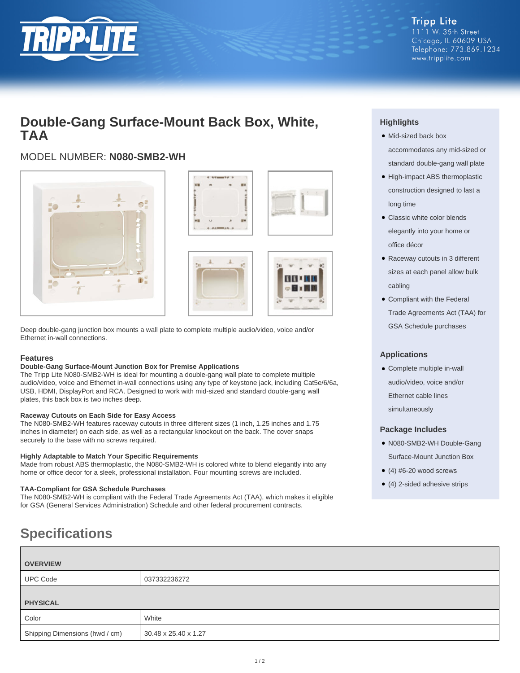

# **Double-Gang Surface-Mount Back Box, White, TAA**

# MODEL NUMBER: **N080-SMB2-WH**







Deep double-gang junction box mounts a wall plate to complete multiple audio/video, voice and/or Ethernet in-wall connections.

#### **Features**

#### **Double-Gang Surface-Mount Junction Box for Premise Applications**

The Tripp Lite N080-SMB2-WH is ideal for mounting a double-gang wall plate to complete multiple audio/video, voice and Ethernet in-wall connections using any type of keystone jack, including Cat5e/6/6a, USB, HDMI, DisplayPort and RCA. Designed to work with mid-sized and standard double-gang wall plates, this back box is two inches deep.

#### **Raceway Cutouts on Each Side for Easy Access**

The N080-SMB2-WH features raceway cutouts in three different sizes (1 inch, 1.25 inches and 1.75 inches in diameter) on each side, as well as a rectangular knockout on the back. The cover snaps securely to the base with no screws required.

#### **Highly Adaptable to Match Your Specific Requirements**

Made from robust ABS thermoplastic, the N080-SMB2-WH is colored white to blend elegantly into any home or office decor for a sleek, professional installation. Four mounting screws are included.

#### **TAA-Compliant for GSA Schedule Purchases**

The N080-SMB2-WH is compliant with the Federal Trade Agreements Act (TAA), which makes it eligible for GSA (General Services Administration) Schedule and other federal procurement contracts.

# **Specifications**

| <b>OVERVIEW</b>                |                      |
|--------------------------------|----------------------|
| <b>UPC Code</b>                | 037332236272         |
|                                |                      |
| <b>PHYSICAL</b>                |                      |
| Color                          | White                |
| Shipping Dimensions (hwd / cm) | 30.48 x 25.40 x 1.27 |

## **Highlights**

- Mid-sized back box ●
- accommodates any mid-sized or standard double-gang wall plate
- High-impact ABS thermoplastic construction designed to last a long time
- Classic white color blends elegantly into your home or office décor
- Raceway cutouts in 3 different sizes at each panel allow bulk cabling
- Compliant with the Federal Trade Agreements Act (TAA) for GSA Schedule purchases

### **Applications**

● Complete multiple in-wall audio/video, voice and/or Ethernet cable lines simultaneously

#### **Package Includes**

- N080-SMB2-WH Double-Gang Surface-Mount Junction Box
- $\bullet$  (4) #6-20 wood screws
- (4) 2-sided adhesive strips